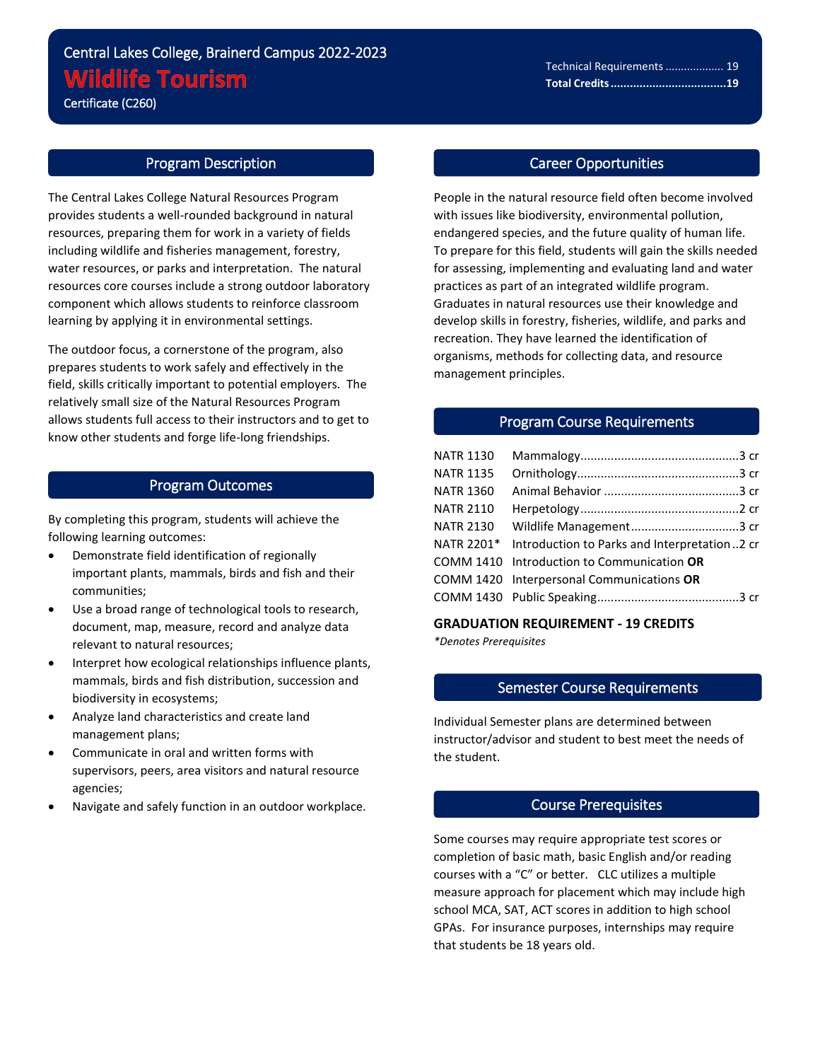# Central Lakes College, Brainerd Campus 2022-2023 **Wildlife Tourism**

Certificate (C260)

l

#### Program Description

The Central Lakes College Natural Resources Program provides students a well-rounded background in natural resources, preparing them for work in a variety of fields including wildlife and fisheries management, forestry, water resources, or parks and interpretation. The natural resources core courses include a strong outdoor laboratory component which allows students to reinforce classroom learning by applying it in environmental settings.

The outdoor focus, a cornerstone of the program, also prepares students to work safely and effectively in the field, skills critically important to potential employers. The relatively small size of the Natural Resources Program allows students full access to their instructors and to get to know other students and forge life-long friendships.

## Program Outcomes

By completing this program, students will achieve the following learning outcomes:

- Demonstrate field identification of regionally important plants, mammals, birds and fish and their communities;
- Use a broad range of technological tools to research, document, map, measure, record and analyze data relevant to natural resources;
- Interpret how ecological relationships influence plants, mammals, birds and fish distribution, succession and biodiversity in ecosystems;
- Analyze land characteristics and create land management plans;
- Communicate in oral and written forms with supervisors, peers, area visitors and natural resource agencies;
- Navigate and safely function in an outdoor workplace.

#### Career Opportunities

People in the natural resource field often become involved with issues like biodiversity, environmental pollution, endangered species, and the future quality of human life. To prepare for this field, students will gain the skills needed for assessing, implementing and evaluating land and water practices as part of an integrated wildlife program. Graduates in natural resources use their knowledge and develop skills in forestry, fisheries, wildlife, and parks and recreation. They have learned the identification of organisms, methods for collecting data, and resource management principles.

#### Program Course Requirements

| <b>NATR 1130</b> |                                                         |
|------------------|---------------------------------------------------------|
| <b>NATR 1135</b> |                                                         |
| <b>NATR 1360</b> |                                                         |
| <b>NATR 2110</b> |                                                         |
| <b>NATR 2130</b> |                                                         |
|                  | NATR 2201* Introduction to Parks and Interpretation2 cr |
|                  | COMM 1410 Introduction to Communication OR              |
|                  | COMM 1420 Interpersonal Communications OR               |
|                  |                                                         |
|                  |                                                         |

**GRADUATION REQUIREMENT - 19 CREDITS** *\*Denotes Prerequisites*

# Semester Course Requirements

Individual Semester plans are determined between instructor/advisor and student to best meet the needs of the student.

#### Course Prerequisites

Some courses may require appropriate test scores or completion of basic math, basic English and/or reading courses with a "C" or better. CLC utilizes a multiple measure approach for placement which may include high school MCA, SAT, ACT scores in addition to high school GPAs. For insurance purposes, internships may require that students be 18 years old.